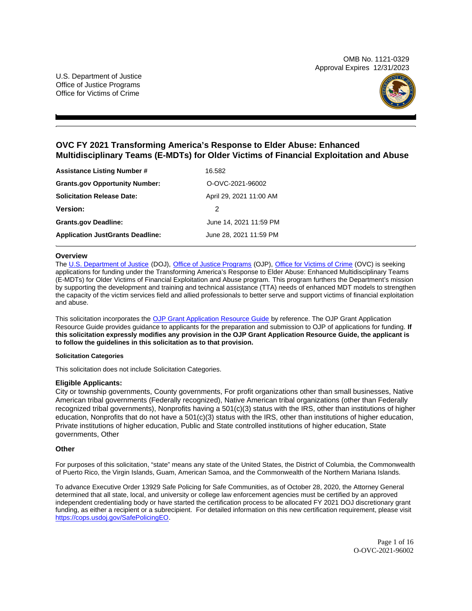OMB No. 1121-0329 Approval Expires 12/31/2023



# **OVC FY 2021 Transforming America's Response to Elder Abuse: Enhanced Multidisciplinary Teams (E-MDTs) for Older Victims of Financial Exploitation and Abuse**

| <b>Assistance Listing Number #</b>      | 16.582                  |  |
|-----------------------------------------|-------------------------|--|
| <b>Grants.gov Opportunity Number:</b>   | O-OVC-2021-96002        |  |
| <b>Solicitation Release Date:</b>       | April 29, 2021 11:00 AM |  |
| <b>Version:</b>                         | 2                       |  |
| <b>Grants.gov Deadline:</b>             | June 14, 2021 11:59 PM  |  |
| <b>Application JustGrants Deadline:</b> | June 28, 2021 11:59 PM  |  |

#### **Overview**

The [U.S. Department of Justice](https://www.usdoj.gov/) (DOJ), [Office of Justice Programs](https://www.ojp.usdoj.gov/) (OJP), [Office for Victims of Crime](http://www.ovc.gov) (OVC) is seeking applications for funding under the Transforming America's Response to Elder Abuse: Enhanced Multidisciplinary Teams (E-MDTs) for Older Victims of Financial Exploitation and Abuse program. This program furthers the Department's mission by supporting the development and training and technical assistance (TTA) needs of enhanced MDT models to strengthen the capacity of the victim services field and allied professionals to better serve and support victims of financial exploitation and abuse.

This solicitation incorporates the [OJP Grant Application Resource Guide](https://www.ojp.gov/funding/Apply/Resources/Grant-App-Resource-Guide.htm) by reference. The OJP Grant Application Resource Guide provides guidance to applicants for the preparation and submission to OJP of applications for funding. **If this solicitation expressly modifies any provision in the OJP Grant Application Resource Guide, the applicant is to follow the guidelines in this solicitation as to that provision.** 

#### **Solicitation Categories**

This solicitation does not include Solicitation Categories.

### **Eligible Applicants:**

City or township governments, County governments, For profit organizations other than small businesses, Native American tribal governments (Federally recognized), Native American tribal organizations (other than Federally recognized tribal governments), Nonprofits having a 501(c)(3) status with the IRS, other than institutions of higher education, Nonprofits that do not have a 501(c)(3) status with the IRS, other than institutions of higher education, Private institutions of higher education, Public and State controlled institutions of higher education, State governments, Other

### **Other**

For purposes of this solicitation, "state" means any state of the United States, the District of Columbia, the Commonwealth of Puerto Rico, the Virgin Islands, Guam, American Samoa, and the Commonwealth of the Northern Mariana Islands.

To advance Executive Order 13929 Safe Policing for Safe Communities, as of October 28, 2020, the Attorney General determined that all state, local, and university or college law enforcement agencies must be certified by an approved independent credentialing body or have started the certification process to be allocated FY 2021 DOJ discretionary grant funding, as either a recipient or a subrecipient. For detailed information on this new certification requirement, please visit [https://cops.usdoj.gov/SafePolicingEO.](https://cops.usdoj.gov/SafePolicingEO)

> Page 1 of 16 O-OVC-2021-96002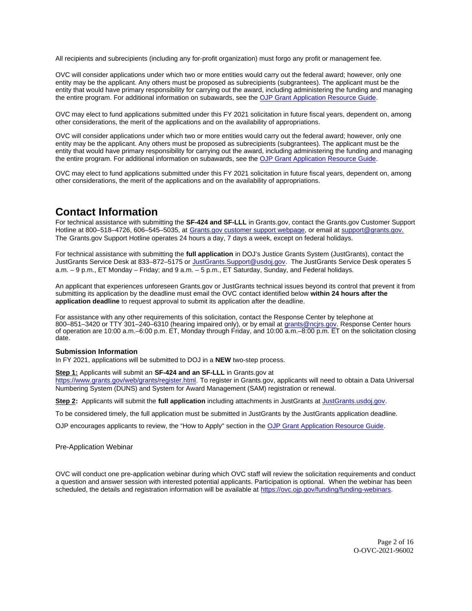<span id="page-1-0"></span>All recipients and subrecipients (including any for-profit organization) must forgo any profit or management fee.

OVC will consider applications under which two or more entities would carry out the federal award; however, only one entity may be the applicant. Any others must be proposed as subrecipients (subgrantees). The applicant must be the entity that would have primary responsibility for carrying out the award, including administering the funding and managing the entire program. For additional information on subawards, see the [OJP Grant Application Resource Guide.](https://www.ojp.gov/funding/Apply/Resources/Grant-App-Resource-Guide.htm)

OVC may elect to fund applications submitted under this FY 2021 solicitation in future fiscal years, dependent on, among other considerations, the merit of the applications and on the availability of appropriations.

OVC will consider applications under which two or more entities would carry out the federal award; however, only one entity may be the applicant. Any others must be proposed as subrecipients (subgrantees). The applicant must be the entity that would have primary responsibility for carrying out the award, including administering the funding and managing the entire program. For additional information on subawards, see the [OJP Grant Application Resource Guide.](https://www.ojp.gov/funding/Apply/Resources/Grant-App-Resource-Guide.htm)

OVC may elect to fund applications submitted under this FY 2021 solicitation in future fiscal years, dependent on, among other considerations, the merit of the applications and on the availability of appropriations.

# **Contact Information**

For technical assistance with submitting the **SF-424 and SF-LLL** in [Grants.gov](https://Grants.gov), contact the [Grants.gov](https://Grants.gov) Customer Support Hotline at 800–518–4726, 606–545–5035, at [Grants.gov customer support webpage,](https://www.grants.gov/web/grants/support.html) or email at [support@grants.gov.](mailto:support@grants.gov) The [Grants.gov](https://Grants.gov) Support Hotline operates 24 hours a day, 7 days a week, except on federal holidays.

For technical assistance with submitting the **full application** in DOJ's Justice Grants System (JustGrants), contact the JustGrants Service Desk at 833-872-5175 or [JustGrants.Support@usdoj.gov.](mailto:JustGrants.Support@usdoj.gov) The JustGrants Service Desk operates 5 a.m. – 9 p.m., ET Monday – Friday; and 9 a.m. – 5 p.m., ET Saturday, Sunday, and Federal holidays.

An applicant that experiences unforeseen [Grants.gov](https://Grants.gov) or JustGrants technical issues beyond its control that prevent it from submitting its application by the deadline must email the OVC contact identified below **within 24 hours after the application deadline** to request approval to submit its application after the deadline.

For assistance with any other requirements of this solicitation, contact the Response Center by telephone at 800–851–3420 or TTY 301–240–6310 (hearing impaired only), or by email at [grants@ncjrs.gov.](mailto:grants@ncjrs.gov) Response Center hours of operation are 10:00 a.m.–6:00 p.m. ET, Monday through Friday, and 10:00 a.m.–8:00 p.m. ET on the solicitation closing date.

#### **Submission Information**

In FY 2021, applications will be submitted to DOJ in a **NEW** two-step process.

#### **Step 1:** Applicants will submit an **SF-424 and an SF-LLL** in [Grants.gov](https://Grants.gov) at

[https://www.grants.gov/web/grants/register.html.](https://www.grants.gov/web/grants/register.html) To register in [Grants.gov,](https://Grants.gov) applicants will need to obtain a Data Universal Numbering System (DUNS) and System for Award Management (SAM) registration or renewal.

**Step 2:** Applicants will submit the **full application** including attachments in JustGrants at [JustGrants.usdoj.gov.](https://justicegrants.usdoj.gov/)

To be considered timely, the full application must be submitted in JustGrants by the JustGrants application deadline.

OJP encourages applicants to review, the "How to Apply" section in the [OJP Grant Application Resource Guide.](https://www.ojp.gov/funding/apply/ojp-grant-application-resource-guide#apply)

Pre-Application Webinar

OVC will conduct one pre-application webinar during which OVC staff will review the solicitation requirements and conduct a question and answer session with interested potential applicants. Participation is optional. When the webinar has been scheduled, the details and registration information will be available at [https://ovc.ojp.gov/funding/funding-webinars.](https://ovc.ojp.gov/funding/funding-webinars)

> Page 2 of 16 O-OVC-2021-96002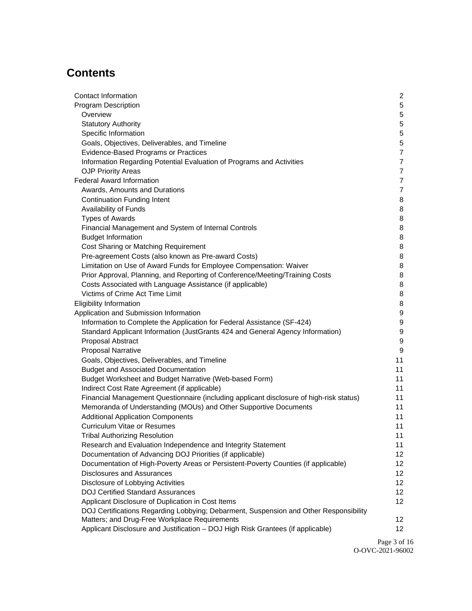# **Contents**

| Contact Information                                                                     | 2               |
|-----------------------------------------------------------------------------------------|-----------------|
| <b>Program Description</b>                                                              | 5               |
| Overview                                                                                | 5               |
| <b>Statutory Authority</b>                                                              | 5               |
| Specific Information                                                                    | $\mathbf 5$     |
| Goals, Objectives, Deliverables, and Timeline                                           | $\mathbf 5$     |
| Evidence-Based Programs or Practices                                                    | $\overline{7}$  |
| Information Regarding Potential Evaluation of Programs and Activities                   | $\overline{7}$  |
| <b>OJP Priority Areas</b>                                                               | $\overline{7}$  |
| <b>Federal Award Information</b>                                                        | $\overline{7}$  |
| Awards, Amounts and Durations                                                           | $\overline{7}$  |
| <b>Continuation Funding Intent</b>                                                      | 8               |
| Availability of Funds                                                                   | 8               |
| <b>Types of Awards</b>                                                                  | 8               |
| Financial Management and System of Internal Controls                                    | 8               |
| <b>Budget Information</b>                                                               | 8               |
| Cost Sharing or Matching Requirement                                                    | 8               |
| Pre-agreement Costs (also known as Pre-award Costs)                                     | 8               |
| Limitation on Use of Award Funds for Employee Compensation: Waiver                      | 8               |
| Prior Approval, Planning, and Reporting of Conference/Meeting/Training Costs            | 8               |
| Costs Associated with Language Assistance (if applicable)                               | 8               |
| Victims of Crime Act Time Limit                                                         | 8               |
| <b>Eligibility Information</b>                                                          | 8               |
| Application and Submission Information                                                  | 9               |
| Information to Complete the Application for Federal Assistance (SF-424)                 | 9               |
| Standard Applicant Information (JustGrants 424 and General Agency Information)          | 9               |
| Proposal Abstract                                                                       | 9               |
| <b>Proposal Narrative</b>                                                               | 9               |
| Goals, Objectives, Deliverables, and Timeline                                           | 11              |
| <b>Budget and Associated Documentation</b>                                              | 11              |
| Budget Worksheet and Budget Narrative (Web-based Form)                                  | 11              |
| Indirect Cost Rate Agreement (if applicable)                                            | 11              |
| Financial Management Questionnaire (including applicant disclosure of high-risk status) | 11              |
| Memoranda of Understanding (MOUs) and Other Supportive Documents                        | 11              |
| <b>Additional Application Components</b>                                                | 11              |
| <b>Curriculum Vitae or Resumes</b>                                                      | 11              |
| <b>Tribal Authorizing Resolution</b>                                                    | 11              |
| Research and Evaluation Independence and Integrity Statement                            | 11              |
| Documentation of Advancing DOJ Priorities (if applicable)                               | 12 <sup>°</sup> |
| Documentation of High-Poverty Areas or Persistent-Poverty Counties (if applicable)      | 12 <sup>°</sup> |
| <b>Disclosures and Assurances</b>                                                       | 12 <sub>2</sub> |
| Disclosure of Lobbying Activities                                                       | 12 <sub>2</sub> |
| <b>DOJ Certified Standard Assurances</b>                                                | 12 <sub>2</sub> |
| Applicant Disclosure of Duplication in Cost Items                                       | 12 <sub>2</sub> |
| DOJ Certifications Regarding Lobbying; Debarment, Suspension and Other Responsibility   |                 |
| Matters; and Drug-Free Workplace Requirements                                           | 12 <sup>°</sup> |
| Applicant Disclosure and Justification - DOJ High Risk Grantees (if applicable)         | 12 <sup>2</sup> |

Page 3 of 16 O-OVC-2021-96002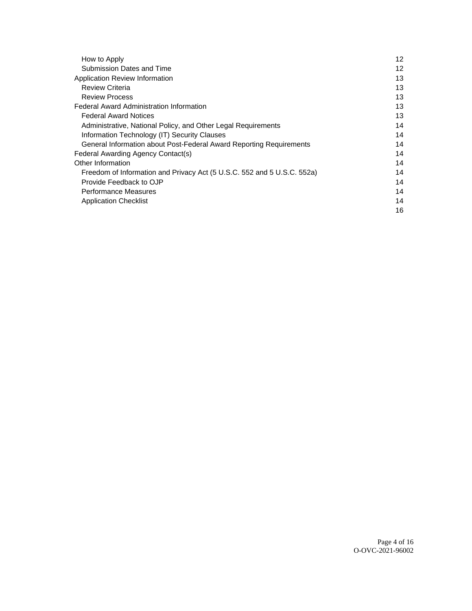| How to Apply                                                            | 12 |
|-------------------------------------------------------------------------|----|
| Submission Dates and Time                                               | 12 |
| Application Review Information                                          | 13 |
| <b>Review Criteria</b>                                                  | 13 |
| <b>Review Process</b>                                                   | 13 |
| <b>Federal Award Administration Information</b>                         | 13 |
| <b>Federal Award Notices</b>                                            | 13 |
| Administrative, National Policy, and Other Legal Requirements           | 14 |
| Information Technology (IT) Security Clauses                            | 14 |
| General Information about Post-Federal Award Reporting Requirements     | 14 |
| Federal Awarding Agency Contact(s)                                      | 14 |
| Other Information                                                       | 14 |
| Freedom of Information and Privacy Act (5 U.S.C. 552 and 5 U.S.C. 552a) | 14 |
| Provide Feedback to OJP                                                 | 14 |
| Performance Measures                                                    | 14 |
| <b>Application Checklist</b>                                            | 14 |
|                                                                         | 16 |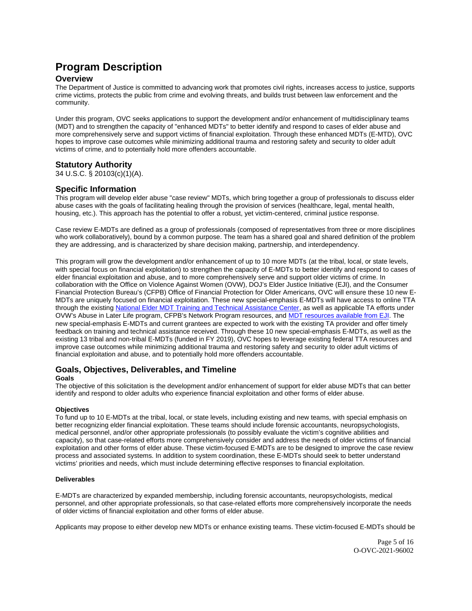# <span id="page-4-0"></span>**Program Description**

# **Overview**

The Department of Justice is committed to advancing work that promotes civil rights, increases access to justice, supports crime victims, protects the public from crime and evolving threats, and builds trust between law enforcement and the community.

Under this program, OVC seeks applications to support the development and/or enhancement of multidisciplinary teams (MDT) and to strengthen the capacity of "enhanced MDTs" to better identify and respond to cases of elder abuse and more comprehensively serve and support victims of financial exploitation. Through these enhanced MDTs (E-MTD), OVC hopes to improve case outcomes while minimizing additional trauma and restoring safety and security to older adult victims of crime, and to potentially hold more offenders accountable.

# **Statutory Authority**

34 U.S.C. § 20103(c)(1)(A).

# **Specific Information**

This program will develop elder abuse "case review" MDTs, which bring together a group of professionals to discuss elder abuse cases with the goals of facilitating healing through the provision of services (healthcare, legal, mental health, housing, etc.). This approach has the potential to offer a robust, yet victim-centered, criminal justice response.

Case review E-MDTs are defined as a group of professionals (composed of representatives from three or more disciplines who work collaboratively), bound by a common purpose. The team has a shared goal and shared definition of the problem they are addressing, and is characterized by share decision making, partnership, and interdependency.

This program will grow the development and/or enhancement of up to 10 more MDTs (at the tribal, local, or state levels, with special focus on financial exploitation) to strengthen the capacity of E-MDTs to better identify and respond to cases of elder financial exploitation and abuse, and to more comprehensively serve and support older victims of crime. In collaboration with the Office on Violence Against Women (OVW), DOJ's Elder Justice Initiative (EJI), and the Consumer Financial Protection Bureau's (CFPB) Office of Financial Protection for Older Americans, OVC will ensure these 10 new E-MDTs are uniquely focused on financial exploitation. These new special-emphasis E-MDTs will have access to online TTA through the existing [National Elder MDT Training and Technical Assistance Center,](https://nyceac.org/national-elder-abuse-mdt-training-and-technical-assistance-center/) as well as applicable TA efforts under OVW's Abuse in Later Life program, CFPB's Network Program resources, and [MDT resources available from EJI.](https://www.justice.gov/elderjustice/mdt-resources) The new special-emphasis E-MDTs and current grantees are expected to work with the existing TA provider and offer timely feedback on training and technical assistance received. Through these 10 new special-emphasis E-MDTs, as well as the existing 13 tribal and non-tribal E-MDTs (funded in FY 2019), OVC hopes to leverage existing federal TTA resources and improve case outcomes while minimizing additional trauma and restoring safety and security to older adult victims of financial exploitation and abuse, and to potentially hold more offenders accountable.

# **Goals, Objectives, Deliverables, and Timeline**

### **Goals**

The objective of this solicitation is the development and/or enhancement of support for elder abuse MDTs that can better identify and respond to older adults who experience financial exploitation and other forms of elder abuse.

### **Objectives**

To fund up to 10 E-MDTs at the tribal, local, or state levels, including existing and new teams, with special emphasis on better recognizing elder financial exploitation. These teams should include forensic accountants, neuropsychologists, medical personnel, and/or other appropriate professionals (to possibly evaluate the victim's cognitive abilities and capacity), so that case-related efforts more comprehensively consider and address the needs of older victims of financial exploitation and other forms of elder abuse. These victim-focused E-MDTs are to be designed to improve the case review process and associated systems. In addition to system coordination, these E-MDTs should seek to better understand victims' priorities and needs, which must include determining effective responses to financial exploitation.

### **Deliverables**

E-MDTs are characterized by expanded membership, including forensic accountants, neuropsychologists, medical personnel, and other appropriate professionals, so that case-related efforts more comprehensively incorporate the needs of older victims of financial exploitation and other forms of elder abuse.

Applicants may propose to either develop new MDTs or enhance existing teams. These victim-focused E-MDTs should be

Page 5 of 16 O-OVC-2021-96002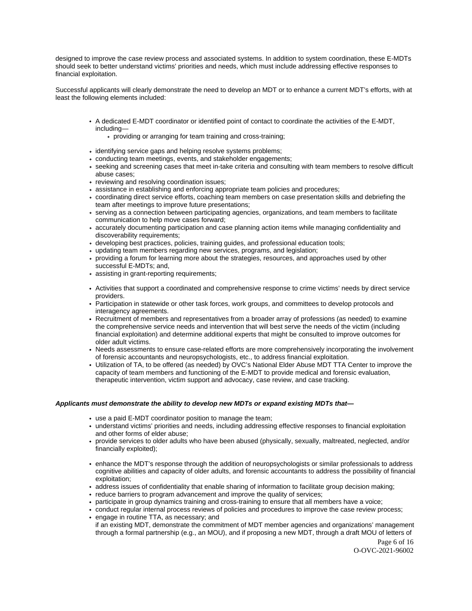designed to improve the case review process and associated systems. In addition to system coordination, these E-MDTs should seek to better understand victims' priorities and needs, which must include addressing effective responses to financial exploitation.

Successful applicants will clearly demonstrate the need to develop an MDT or to enhance a current MDT's efforts, with at least the following elements included:

- A dedicated E-MDT coordinator or identified point of contact to coordinate the activities of the E-MDT, including
	- providing or arranging for team training and cross-training;
- identifying service gaps and helping resolve systems problems;
- conducting team meetings, events, and stakeholder engagements;
- seeking and screening cases that meet in-take criteria and consulting with team members to resolve difficult abuse cases;
- reviewing and resolving coordination issues;
- assistance in establishing and enforcing appropriate team policies and procedures;
- coordinating direct service efforts, coaching team members on case presentation skills and debriefing the team after meetings to improve future presentations;
- serving as a connection between participating agencies, organizations, and team members to facilitate communication to help move cases forward;
- accurately documenting participation and case planning action items while managing confidentiality and discoverability requirements;
- developing best practices, policies, training guides, and professional education tools;
- updating team members regarding new services, programs, and legislation;
- providing a forum for learning more about the strategies, resources, and approaches used by other successful E-MDTs; and,
- assisting in grant-reporting requirements;
- Activities that support a coordinated and comprehensive response to crime victims' needs by direct service providers.
- Participation in statewide or other task forces, work groups, and committees to develop protocols and interagency agreements.
- Recruitment of members and representatives from a broader array of professions (as needed) to examine the comprehensive service needs and intervention that will best serve the needs of the victim (including financial exploitation) and determine additional experts that might be consulted to improve outcomes for older adult victims.
- Needs assessments to ensure case-related efforts are more comprehensively incorporating the involvement of forensic accountants and neuropsychologists, etc., to address financial exploitation.
- Utilization of TA, to be offered (as needed) by OVC's National Elder Abuse MDT TTA Center to improve the capacity of team members and functioning of the E-MDT to provide medical and forensic evaluation, therapeutic intervention, victim support and advocacy, case review, and case tracking.

#### **Applicants must demonstrate the ability to develop new MDTs or expand existing MDTs that—**

- use a paid E-MDT coordinator position to manage the team;
- understand victims' priorities and needs, including addressing effective responses to financial exploitation and other forms of elder abuse;
- provide services to older adults who have been abused (physically, sexually, maltreated, neglected, and/or financially exploited);
- enhance the MDT's response through the addition of neuropsychologists or similar professionals to address cognitive abilities and capacity of older adults, and forensic accountants to address the possibility of financial exploitation;
- address issues of confidentiality that enable sharing of information to facilitate group decision making;
- reduce barriers to program advancement and improve the quality of services;
- participate in group dynamics training and cross-training to ensure that all members have a voice;
- conduct regular internal process reviews of policies and procedures to improve the case review process;
- engage in routine TTA, as necessary; and
- if an existing MDT, demonstrate the commitment of MDT member agencies and organizations' management through a formal partnership (e.g., an MOU), and if proposing a new MDT, through a draft MOU of letters of

Page 6 of 16 O-OVC-2021-96002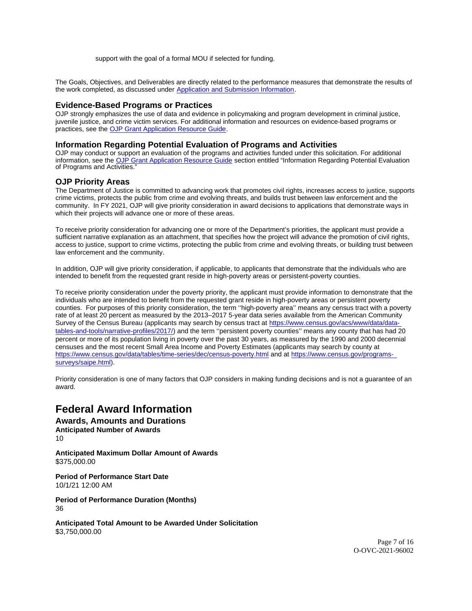support with the goal of a formal MOU if selected for funding.

<span id="page-6-0"></span>The Goals, Objectives, and Deliverables are directly related to the performance measures that demonstrate the results of the work completed, as discussed under [Application](#_What_an_Application) and Submission Information.

# **Evidence-Based Programs or Practices**

OJP strongly emphasizes the use of data and evidence in policymaking and program development in criminal justice, juvenile justice, and crime victim services. For additional information and resources on evidence-based programs or practices, see the [OJP Grant Application Resource Guide.](https://www.ojp.gov/funding/apply/ojp-grant-application-resource-guide#evidence-based)

## **Information Regarding Potential Evaluation of Programs and Activities**

OJP may conduct or support an evaluation of the programs and activities funded under this solicitation. For additional information, see the [OJP Grant Application Resource Guide](https://www.ojp.gov/funding/apply/ojp-grant-application-resource-guide#potential-evaluation) section entitled "Information Regarding Potential Evaluation of Programs and Activities."

## **OJP Priority Areas**

The Department of Justice is committed to advancing work that promotes civil rights, increases access to justice, supports crime victims, protects the public from crime and evolving threats, and builds trust between law enforcement and the community. In FY 2021, OJP will give priority consideration in award decisions to applications that demonstrate ways in which their projects will advance one or more of these areas.

To receive priority consideration for advancing one or more of the Department's priorities, the applicant must provide a sufficient narrative explanation as an attachment, that specifies how the project will advance the promotion of civil rights, access to justice, support to crime victims, protecting the public from crime and evolving threats, or building trust between law enforcement and the community.

In addition, OJP will give priority consideration, if applicable, to applicants that demonstrate that the individuals who are intended to benefit from the requested grant reside in high-poverty areas or persistent-poverty counties.

To receive priority consideration under the poverty priority, the applicant must provide information to demonstrate that the individuals who are intended to benefit from the requested grant reside in high-poverty areas or persistent poverty counties. For purposes of this priority consideration, the term ''high-poverty area'' means any census tract with a poverty rate of at least 20 percent as measured by the 2013–2017 5-year data series available from the American Community Survey of the Census Bureau (applicants may search by census tract at [https://www.census.gov/acs/www/data/data](https://www.census.gov/acs/www/data/data-tables-and-tools/narrative-profiles/2017/)[tables-and-tools/narrative-profiles/2017/\)](https://www.census.gov/acs/www/data/data-tables-and-tools/narrative-profiles/2017/) and the term ''persistent poverty counties'' means any county that has had 20 percent or more of its population living in poverty over the past 30 years, as measured by the 1990 and 2000 decennial censuses and the most recent Small Area Income and Poverty Estimates (applicants may search by county at <https://www.census.gov/data/tables/time-series/dec/census-poverty.html>and at [https://www.census.gov/programs](https://www.census.gov/programs-surveys/saipe.html)[surveys/saipe.html\)](https://www.census.gov/programs-surveys/saipe.html).

Priority consideration is one of many factors that OJP considers in making funding decisions and is not a guarantee of an award.

# **Federal Award Information**

**Awards, Amounts and Durations Anticipated Number of Awards**  10

**Anticipated Maximum Dollar Amount of Awards**  [\\$375,000.00](https://375,000.00) 

**Period of Performance Start Date**  10/1/21 12:00 AM

**Period of Performance Duration (Months)**  36

**Anticipated Total Amount to be Awarded Under Solicitation**  [\\$3,750,000.00](https://3,750,000.00)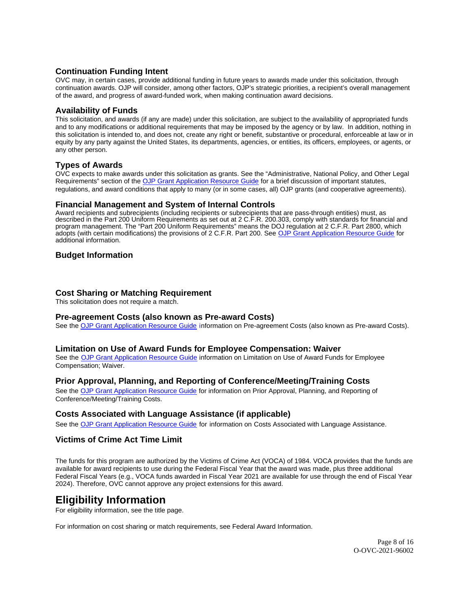# <span id="page-7-0"></span>**Continuation Funding Intent**

OVC may, in certain cases, provide additional funding in future years to awards made under this solicitation, through continuation awards. OJP will consider, among other factors, OJP's strategic priorities, a recipient's overall management of the award, and progress of award-funded work, when making continuation award decisions.

## **Availability of Funds**

This solicitation, and awards (if any are made) under this solicitation, are subject to the availability of appropriated funds and to any modifications or additional requirements that may be imposed by the agency or by law. In addition, nothing in this solicitation is intended to, and does not, create any right or benefit, substantive or procedural, enforceable at law or in equity by any party against the United States, its departments, agencies, or entities, its officers, employees, or agents, or any other person.

## **Types of Awards**

OVC expects to make awards under this solicitation as grants. See the "Administrative, National Policy, and Other Legal Requirements" section of the [OJP Grant Application Resource Guide](https://ojp.gov/funding/Apply/Resources/Grant-App-Resource-Guide.htm) for a brief discussion of important statutes, regulations, and award conditions that apply to many (or in some cases, all) OJP grants (and cooperative agreements).

### **Financial Management and System of Internal Controls**

Award recipients and subrecipients (including recipients or subrecipients that are pass-through entities) must, as described in the Part 200 Uniform Requirements as set out at 2 C.F.R. 200.303, comply with standards for financial and program management. The "Part 200 Uniform Requirements" means the DOJ regulation at 2 C.F.R. Part 2800, which adopts (with certain modifications) the provisions of 2 C.F.R. Part 200. See [OJP Grant Application Resource Guide](https://www.ojp.gov/funding/apply/ojp-grant-application-resource-guide#fm-internal-controls) for additional information.

# **Budget Information**

### **Cost Sharing or Matching Requirement**

This solicitation does not require a match.

### **Pre-agreement Costs (also known as Pre-award Costs)**

See the [OJP Grant Application Resource Guide](https://www.ojp.gov/funding/apply/ojp-grant-application-resource-guide#pre-agreement-costs) information on Pre-agreement Costs (also known as Pre-award Costs).

### **Limitation on Use of Award Funds for Employee Compensation: Waiver**

See the [OJP Grant Application Resource Guide](https://www.ojp.gov/funding/apply/ojp-grant-application-resource-guide#limitation-use-award) information on Limitation on Use of Award Funds for Employee Compensation; Waiver.

# **Prior Approval, Planning, and Reporting of Conference/Meeting/Training Costs**

See the [OJP Grant Application Resource Guide](https://www.ojp.gov/funding/apply/ojp-grant-application-resource-guide#prior-approval) for information on Prior Approval, Planning, and Reporting of Conference/Meeting/Training Costs.

### **Costs Associated with Language Assistance (if applicable)**

See the [OJP Grant Application Resource Guide](https://www.ojp.gov/funding/apply/ojp-grant-application-resource-guide#costs-associated) for information on Costs Associated with Language Assistance.

# **Victims of Crime Act Time Limit**

The funds for this program are authorized by the Victims of Crime Act (VOCA) of 1984. VOCA provides that the funds are available for award recipients to use during the Federal Fiscal Year that the award was made, plus three additional Federal Fiscal Years (e.g., VOCA funds awarded in Fiscal Year 2021 are available for use through the end of Fiscal Year 2024). Therefore, OVC cannot approve any project extensions for this award.

# **Eligibility Information**

For eligibility information, see the title page.

For information on cost sharing or match requirements, see Federal Award Information.

Page 8 of 16 O-OVC-2021-96002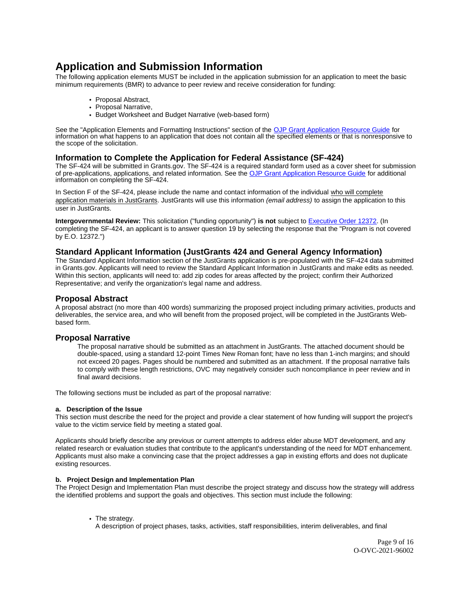# <span id="page-8-0"></span>**Application and Submission Information**

The following application elements MUST be included in the application submission for an application to meet the basic minimum requirements (BMR) to advance to peer review and receive consideration for funding:

- Proposal Abstract,
- Proposal Narrative,
- Budget Worksheet and Budget Narrative (web-based form)

See the "Application Elements and Formatting Instructions" section of the [OJP Grant Application Resource Guide](https://www.ojp.gov/funding/apply/ojp-grant-application-resource-guide#application-elements) for information on what happens to an application that does not contain all the specified elements or that is nonresponsive to the scope of the solicitation.

# **Information to Complete the Application for Federal Assistance (SF-424)**

The SF-424 will be submitted in [Grants.gov.](https://Grants.gov) The SF-424 is a required standard form used as a cover sheet for submission of pre-applications, applications, and related information. See the [OJP Grant Application Resource Guide](https://www.ojp.gov/funding/apply/ojp-grant-application-resource-guide#complete-application) for additional information on completing the SF-424.

In Section F of the SF-424, please include the name and contact information of the individual who will complete application materials in JustGrants. JustGrants will use this information (email address) to assign the application to this user in JustGrants.

**Intergovernmental Review:** This solicitation ("funding opportunity") **is not** subject to [Executive Order 12372.](https://www.archives.gov/federal-register/codification/executive-order/12372.html) (In completing the SF-424, an applicant is to answer question 19 by selecting the response that the "Program is not covered by E.O. 12372.")

# **Standard Applicant Information (JustGrants 424 and General Agency Information)**

The Standard Applicant Information section of the JustGrants application is pre-populated with the SF-424 data submitted in [Grants.gov](https://Grants.gov). Applicants will need to review the Standard Applicant Information in JustGrants and make edits as needed. Within this section, applicants will need to: add zip codes for areas affected by the project; confirm their Authorized Representative; and verify the organization's legal name and address.

# **Proposal Abstract**

A proposal abstract (no more than 400 words) summarizing the proposed project including primary activities, products and deliverables, the service area, and who will benefit from the proposed project, will be completed in the JustGrants Webbased form.

# **Proposal Narrative**

The proposal narrative should be submitted as an attachment in JustGrants. The attached document should be double-spaced, using a standard 12-point Times New Roman font; have no less than 1-inch margins; and should not exceed 20 pages. Pages should be numbered and submitted as an attachment. If the proposal narrative fails to comply with these length restrictions, OVC may negatively consider such noncompliance in peer review and in final award decisions.

The following sections must be included as part of the proposal narrative:

### **a. Description of the Issue**

This section must describe the need for the project and provide a clear statement of how funding will support the project's value to the victim service field by meeting a stated goal.

Applicants should briefly describe any previous or current attempts to address elder abuse MDT development, and any related research or evaluation studies that contribute to the applicant's understanding of the need for MDT enhancement. Applicants must also make a convincing case that the project addresses a gap in existing efforts and does not duplicate existing resources.

### **b. Project Design and Implementation Plan**

The Project Design and Implementation Plan must describe the project strategy and discuss how the strategy will address the identified problems and support the goals and objectives. This section must include the following:

• The strategy.

A description of project phases, tasks, activities, staff responsibilities, interim deliverables, and final

Page 9 of 16 O-OVC-2021-96002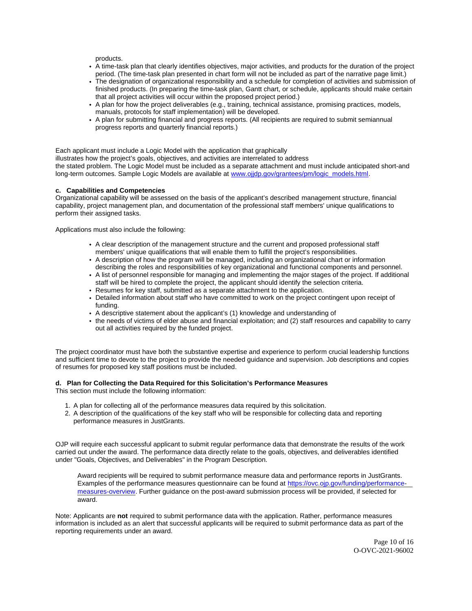products.

- A time-task plan that clearly identifies objectives, major activities, and products for the duration of the project period. (The time-task plan presented in chart form will not be included as part of the narrative page limit.)
- The designation of organizational responsibility and a schedule for completion of activities and submission of finished products. (In preparing the time-task plan, Gantt chart, or schedule, applicants should make certain that all project activities will occur within the proposed project period.)
- A plan for how the project deliverables (e.g., training, technical assistance, promising practices, models, manuals, protocols for staff implementation) will be developed.
- A plan for submitting financial and progress reports. (All recipients are required to submit semiannual progress reports and quarterly financial reports.)

Each applicant must include a Logic Model with the application that graphically

illustrates how the project's goals, objectives, and activities are interrelated to address the stated problem. The Logic Model must be included as a separate attachment and must include anticipated short-and long-term outcomes. Sample Logic Models are available at [www.ojjdp.gov/grantees/pm/logic\\_models.html.](http://www.ojjdp.gov/grantees/pm/logic_models.html)

#### **c. Capabilities and Competencies**

Organizational capability will be assessed on the basis of the applicant's described management structure, financial capability, project management plan, and documentation of the professional staff members' unique qualifications to perform their assigned tasks.

Applications must also include the following:

- A clear description of the management structure and the current and proposed professional staff members' unique qualifications that will enable them to fulfill the project's responsibilities.
- A description of how the program will be managed, including an organizational chart or information describing the roles and responsibilities of key organizational and functional components and personnel.
- A list of personnel responsible for managing and implementing the major stages of the project. If additional staff will be hired to complete the project, the applicant should identify the selection criteria.
- Resumes for key staff, submitted as a separate attachment to the application.
- Detailed information about staff who have committed to work on the project contingent upon receipt of funding.
- A descriptive statement about the applicant's (1) knowledge and understanding of
- the needs of victims of elder abuse and financial exploitation; and (2) staff resources and capability to carry out all activities required by the funded project.

The project coordinator must have both the substantive expertise and experience to perform crucial leadership functions and sufficient time to devote to the project to provide the needed guidance and supervision. Job descriptions and copies of resumes for proposed key staff positions must be included.

#### **d. Plan for Collecting the Data Required for this Solicitation's Performance Measures**

This section must include the following information:

- 1. A plan for collecting all of the performance measures data required by this solicitation.
- 2. A description of the qualifications of the key staff who will be responsible for collecting data and reporting performance measures in JustGrants.

OJP will require each successful applicant to submit regular performance data that demonstrate the results of the work carried out under the award. The performance data directly relate to the goals, objectives, and deliverables identified under "Goals, Objectives, and Deliverables" in the Program Description.

Award recipients will be required to submit performance measure data and performance reports in JustGrants. Examples of the performance measures questionnaire can be found at [https://ovc.ojp.gov/funding/performance](https://ovc.ojp.gov/funding/performance-measures-overview)[measures-overview.](https://ovc.ojp.gov/funding/performance-measures-overview) Further guidance on the post-award submission process will be provided, if selected for award.

Note: Applicants are **not** required to submit performance data with the application. Rather, performance measures information is included as an alert that successful applicants will be required to submit performance data as part of the reporting requirements under an award.

> Page 10 of 16 O-OVC-2021-96002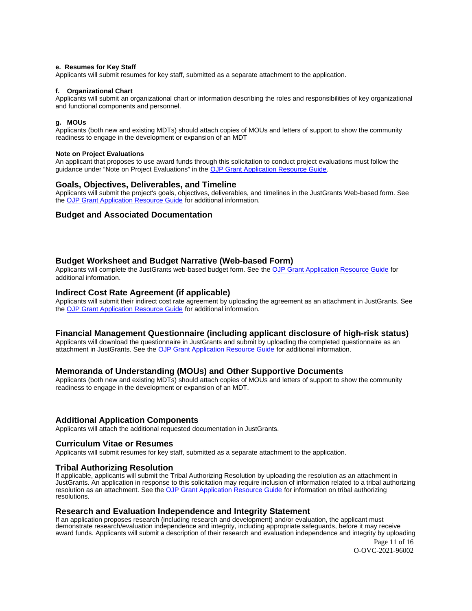#### <span id="page-10-0"></span>**e. Resumes for Key Staff**

Applicants will submit resumes for key staff, submitted as a separate attachment to the application.

#### **f. Organizational Chart**

Applicants will submit an organizational chart or information describing the roles and responsibilities of key organizational and functional components and personnel.

### **g. MOUs**

Applicants (both new and existing MDTs) should attach copies of MOUs and letters of support to show the community readiness to engage in the development or expansion of an MDT

#### **Note on Project Evaluations**

An applicant that proposes to use award funds through this solicitation to conduct project evaluations must follow the guidance under "Note on Project Evaluations" in the [OJP Grant Application Resource Guide.](https://www.ojp.gov/funding/Apply/Resources/Grant-App-Resource-Guide.htm)

### **Goals, Objectives, Deliverables, and Timeline**

Applicants will submit the project's goals, objectives, deliverables, and timelines in the JustGrants Web-based form. See the [OJP Grant Application Resource Guide](https://www.ojp.gov/funding/apply/ojp-grant-application-resource-guide) for additional information.

### **Budget and Associated Documentation**

## **Budget Worksheet and Budget Narrative (Web-based Form)**

Applicants will complete the JustGrants web-based budget form. See the [OJP Grant Application Resource Guide](https://www.ojp.gov/funding/apply/ojp-grant-application-resource-guide#budget-prep) for additional information.

#### **Indirect Cost Rate Agreement (if applicable)**

Applicants will submit their indirect cost rate agreement by uploading the agreement as an attachment in JustGrants. See the [OJP Grant Application Resource Guide](https://www.ojp.gov/funding/apply/ojp-grant-application-resource-guide#budget-prep) for additional information.

#### **Financial Management Questionnaire (including applicant disclosure of high-risk status)**

Applicants will download the questionnaire in JustGrants and submit by uploading the completed questionnaire as an attachment in JustGrants. See the [OJP Grant Application Resource Guide](https://www.ojp.gov/funding/apply/ojp-grant-application-resource-guide#fm-internal-controls-questionnaire) for additional information.

### **Memoranda of Understanding (MOUs) and Other Supportive Documents**

Applicants (both new and existing MDTs) should attach copies of MOUs and letters of support to show the community readiness to engage in the development or expansion of an MDT.

#### **Additional Application Components**

Applicants will attach the additional requested documentation in JustGrants.

#### **Curriculum Vitae or Resumes**

Applicants will submit resumes for key staff, submitted as a separate attachment to the application.

#### **Tribal Authorizing Resolution**

If applicable, applicants will submit the Tribal Authorizing Resolution by uploading the resolution as an attachment in JustGrants. An application in response to this solicitation may require inclusion of information related to a tribal authorizing resolution as an attachment. See the [OJP Grant Application Resource Guide](https://www.ojp.gov/funding/apply/ojp-grant-application-resource-guide#tribal-authorizing-resolution) for information on tribal authorizing resolutions.

# **Research and Evaluation Independence and Integrity Statement**

If an application proposes research (including research and development) and/or evaluation, the applicant must demonstrate research/evaluation independence and integrity, including appropriate safeguards, before it may receive award funds. Applicants will submit a description of their research and evaluation independence and integrity by uploading

Page 11 of 16 O-OVC-2021-96002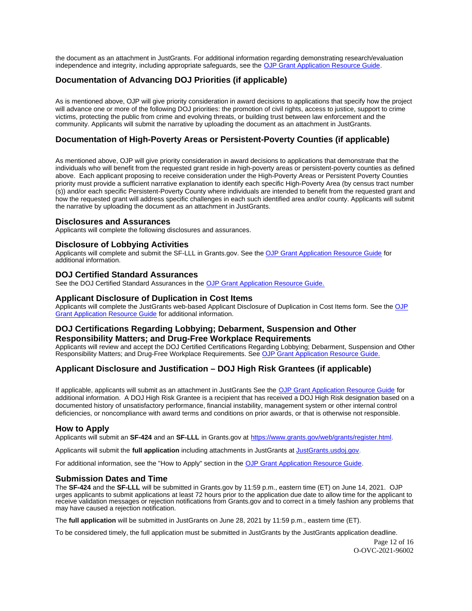<span id="page-11-0"></span>the document as an attachment in JustGrants. For additional information regarding demonstrating research/evaluation independence and integrity, including appropriate safeguards, see the [OJP Grant Application Resource Guide.](https://www.ojp.gov/funding/apply/ojp-grant-application-resource-guide#research-evaluation)

# **Documentation of Advancing DOJ Priorities (if applicable)**

As is mentioned above, OJP will give priority consideration in award decisions to applications that specify how the project will advance one or more of the following DOJ priorities: the promotion of civil rights, access to justice, support to crime victims, protecting the public from crime and evolving threats, or building trust between law enforcement and the community. Applicants will submit the narrative by uploading the document as an attachment in JustGrants.

# **Documentation of High-Poverty Areas or Persistent-Poverty Counties (if applicable)**

As mentioned above, OJP will give priority consideration in award decisions to applications that demonstrate that the individuals who will benefit from the requested grant reside in high-poverty areas or persistent-poverty counties as defined above. Each applicant proposing to receive consideration under the High-Poverty Areas or Persistent Poverty Counties priority must provide a sufficient narrative explanation to identify each specific High-Poverty Area (by census tract number (s)) and/or each specific Persistent-Poverty County where individuals are intended to benefit from the requested grant and how the requested grant will address specific challenges in each such identified area and/or county. Applicants will submit the narrative by uploading the document as an attachment in JustGrants.

### **Disclosures and Assurances**

Applicants will complete the following disclosures and assurances.

## **Disclosure of Lobbying Activities**

Applicants will complete and submit the SF-LLL in [Grants.gov.](https://Grants.gov) See the [OJP Grant Application Resource Guide](https://www.ojp.gov/funding/apply/ojp-grant-application-resource-guide#apply) for additional information.

## **DOJ Certified Standard Assurances**

See the DOJ Certified Standard Assurances in the [OJP Grant Application Resource Guide.](https://www.ojp.gov/funding/apply/ojp-grant-application-resource-guide#administrative) 

## **Applicant Disclosure of Duplication in Cost Items**

Applicants will complete the JustGrants web-based Applicant Disclosure of Duplication in Cost Items form. See the OJP [Grant Application Resource Guide](https://www.ojp.gov/funding/apply/ojp-grant-application-resource-guide#applicant-disclosure-pending-applications) for additional information.

# **DOJ Certifications Regarding Lobbying; Debarment, Suspension and Other Responsibility Matters; and Drug-Free Workplace Requirements**

Applicants will review and accept the DOJ Certified Certifications Regarding Lobbying; Debarment, Suspension and Other Responsibility Matters; and Drug-Free Workplace Requirements. See [OJP Grant Application Resource Guide.](https://www.ojp.gov/funding/apply/ojp-grant-application-resource-guide#administrative) 

# **Applicant Disclosure and Justification – DOJ High Risk Grantees (if applicable)**

If applicable, applicants will submit as an attachment in JustGrants See the [OJP Grant Application Resource Guide](https://www.ojp.gov/funding/apply/ojp-grant-application-resource-guide) for additional information. A DOJ High Risk Grantee is a recipient that has received a DOJ High Risk designation based on a documented history of unsatisfactory performance, financial instability, management system or other internal control deficiencies, or noncompliance with award terms and conditions on prior awards, or that is otherwise not responsible.

# **How to Apply**

Applicants will submit an **SF-424** and an **SF-LLL** in [Grants.gov](https://Grants.gov) at [https://www.grants.gov/web/grants/register.html.](https://www.grants.gov/web/grants/register.html)

Applicants will submit the **full application** including attachments in JustGrants at [JustGrants.usdoj.gov.](https://justicegrants.usdoj.gov/)

For additional information, see the "How to Apply" section in the [OJP Grant Application Resource Guide.](https://www.ojp.gov/funding/apply/ojp-grant-application-resource-guide#apply)

# **Submission Dates and Time**

The **SF-424** and the **SF-LLL** will be submitted in [Grants.gov](https://Grants.gov) by 11:59 p.m., eastern time (ET) on June 14, 2021. OJP urges applicants to submit applications at least 72 hours prior to the application due date to allow time for the applicant to receive validation messages or rejection notifications from [Grants.gov](https://Grants.gov) and to correct in a timely fashion any problems that may have caused a rejection notification.

The **full application** will be submitted in JustGrants on June 28, 2021 by 11:59 p.m., eastern time (ET).

To be considered timely, the full application must be submitted in JustGrants by the JustGrants application deadline.

Page 12 of 16 O-OVC-2021-96002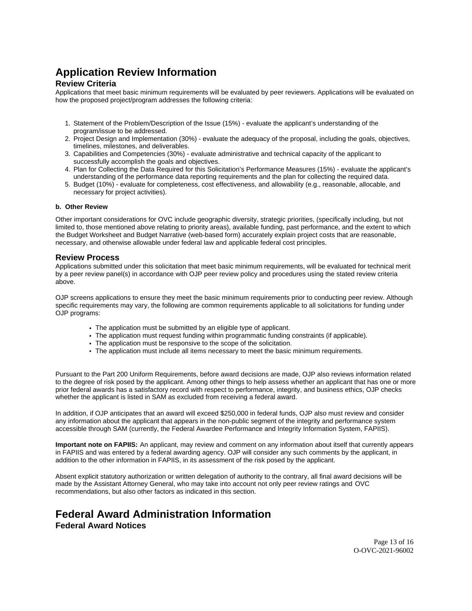# <span id="page-12-0"></span>**Application Review Information**

# **Review Criteria**

Applications that meet basic minimum requirements will be evaluated by peer reviewers. Applications will be evaluated on how the proposed project/program addresses the following criteria:

- 1. Statement of the Problem/Description of the Issue (15%) evaluate the applicant's understanding of the program/issue to be addressed.
- 2. Project Design and Implementation (30%) evaluate the adequacy of the proposal, including the goals, objectives, timelines, milestones, and deliverables.
- 3. Capabilities and Competencies (30%) evaluate administrative and technical capacity of the applicant to successfully accomplish the goals and objectives.
- 4. Plan for Collecting the Data Required for this Solicitation's Performance Measures (15%) evaluate the applicant's understanding of the performance data reporting requirements and the plan for collecting the required data.
- 5. Budget (10%) evaluate for completeness, cost effectiveness, and allowability (e.g., reasonable, allocable, and necessary for project activities).

#### **b. Other Review**

Other important considerations for OVC include geographic diversity, strategic priorities, (specifically including, but not limited to, those mentioned above relating to priority areas), available funding, past performance, and the extent to which the Budget Worksheet and Budget Narrative (web-based form) accurately explain project costs that are reasonable, necessary, and otherwise allowable under federal law and applicable federal cost principles.

## **Review Process**

Applications submitted under this solicitation that meet basic minimum requirements, will be evaluated for technical merit by a peer review panel(s) in accordance with OJP peer review policy and procedures using the stated review criteria above.

OJP screens applications to ensure they meet the basic minimum requirements prior to conducting peer review. Although specific requirements may vary, the following are common requirements applicable to all solicitations for funding under OJP programs:

- The application must be submitted by an eligible type of applicant.
- The application must request funding within programmatic funding constraints (if applicable).
- The application must be responsive to the scope of the solicitation.
- The application must include all items necessary to meet the basic minimum requirements.

Pursuant to the Part 200 Uniform Requirements, before award decisions are made, OJP also reviews information related to the degree of risk posed by the applicant. Among other things to help assess whether an applicant that has one or more prior federal awards has a satisfactory record with respect to performance, integrity, and business ethics, OJP checks whether the applicant is listed in SAM as excluded from receiving a federal award.

In addition, if OJP anticipates that an award will exceed \$250,000 in federal funds, OJP also must review and consider any information about the applicant that appears in the non-public segment of the integrity and performance system accessible through SAM (currently, the Federal Awardee Performance and Integrity Information System, FAPIIS).

**Important note on FAPIIS:** An applicant, may review and comment on any information about itself that currently appears in FAPIIS and was entered by a federal awarding agency. OJP will consider any such comments by the applicant, in addition to the other information in FAPIIS, in its assessment of the risk posed by the applicant.

Absent explicit statutory authorization or written delegation of authority to the contrary, all final award decisions will be made by the Assistant Attorney General, who may take into account not only peer review ratings and OVC recommendations, but also other factors as indicated in this section.

# **Federal Award Administration Information**

**Federal Award Notices**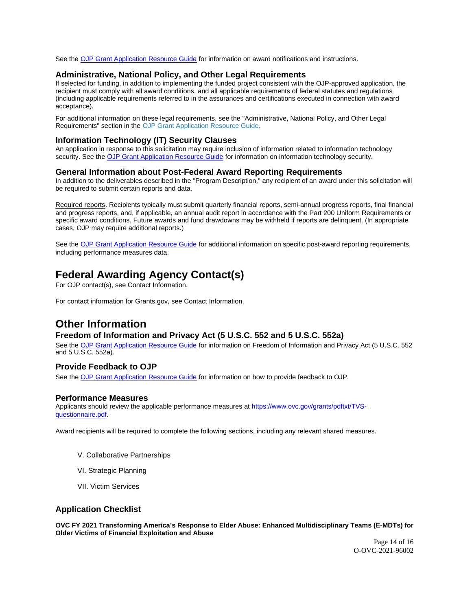<span id="page-13-0"></span>See the [OJP Grant Application Resource Guide](https://www.ojp.gov/funding/apply/ojp-grant-application-resource-guide#federal-award-notices) for information on award notifications and instructions.

#### **Administrative, National Policy, and Other Legal Requirements**

If selected for funding, in addition to implementing the funded project consistent with the OJP-approved application, the recipient must comply with all award conditions, and all applicable requirements of federal statutes and regulations (including applicable requirements referred to in the assurances and certifications executed in connection with award acceptance).

For additional information on these legal requirements, see the "Administrative, National Policy, and Other Legal Requirements" section in the [OJP Grant Application Resource Guide.](https://www.ojp.gov/funding/apply/ojp-grant-application-resource-guide#administrative)

#### **Information Technology (IT) Security Clauses**

An application in response to this solicitation may require inclusion of information related to information technology security. See the [OJP Grant Application Resource Guide](https://www.ojp.gov/funding/apply/ojp-grant-application-resource-guide#information-technology) for information on information technology security.

#### **General Information about Post-Federal Award Reporting Requirements**

In addition to the deliverables described in the "Program Description," any recipient of an award under this solicitation will be required to submit certain reports and data.

Required reports. Recipients typically must submit quarterly financial reports, semi-annual progress reports, final financial and progress reports, and, if applicable, an annual audit report in accordance with the Part 200 Uniform Requirements or specific award conditions. Future awards and fund drawdowns may be withheld if reports are delinquent. (In appropriate cases, OJP may require additional reports.)

See the [OJP Grant Application Resource Guide](https://www.ojp.gov/funding/Apply/Resources/Grant-App-Resource-Guide.htm) for additional information on specific post-award reporting requirements, including performance measures data.

# **Federal Awarding Agency Contact(s)**

For OJP contact(s), see Contact Information.

For contact information for [Grants.gov,](https://Grants.gov) see Contact Information.

# **Other Information**

# **Freedom of Information and Privacy Act (5 U.S.C. 552 and 5 U.S.C. 552a)**

See the [OJP Grant Application Resource Guide](https://www.ojp.gov/funding/apply/ojp-grant-application-resource-guide#foia) for information on Freedom of Information and Privacy Act (5 U.S.C. 552 and 5 U.S.C. 552a).

# **Provide Feedback to OJP**

See the [OJP Grant Application Resource Guide](https://www.ojp.gov/funding/apply/ojp-grant-application-resource-guide#feedback) for information on how to provide feedback to OJP.

#### **Performance Measures**

Applicants should review the applicable performance measures at [https://www.ovc.gov/grants/pdftxt/TVS](https://www.ovc.gov/grants/pdftxt/TVS-questionnaire.pdf)[questionnaire.pdf.](https://www.ovc.gov/grants/pdftxt/TVS-questionnaire.pdf)

Award recipients will be required to complete the following sections, including any relevant shared measures.

- V. Collaborative Partnerships
- VI. Strategic Planning
- VII. Victim Services

## **Application Checklist**

**OVC FY 2021 Transforming America's Response to Elder Abuse: Enhanced Multidisciplinary Teams (E-MDTs) for Older Victims of Financial Exploitation and Abuse** 

> Page 14 of 16 O-OVC-2021-96002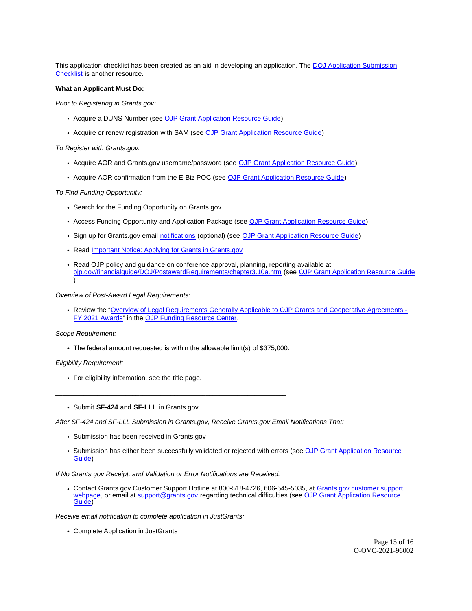This application checklist has been created as an aid in developing an application. The [DOJ Application Submission](https://justicegrants.usdoj.gov/sites/g/files/xyckuh296/files/media/document/appln-submission-checklist.pdf)  [Checklist](https://justicegrants.usdoj.gov/sites/g/files/xyckuh296/files/media/document/appln-submission-checklist.pdf) is another resource.

#### **What an Applicant Must Do:**

Prior to Registering in [Grants.gov:](https://Grants.gov)

- Acquire a DUNS Number (see [OJP Grant Application Resource Guide\)](https://www.ojp.gov/funding/apply/ojp-grant-application-resource-guide#apply)
- Acquire or renew registration with SAM (see [OJP Grant Application Resource Guide\)](https://www.ojp.gov/funding/apply/ojp-grant-application-resource-guide#apply)

To Register with [Grants.gov](https://Grants.gov):

- Acquire AOR and [Grants.gov](https://Grants.gov) username/password (see [OJP Grant Application Resource Guide\)](https://www.ojp.gov/funding/apply/ojp-grant-application-resource-guide#apply)
- Acquire AOR confirmation from the E-Biz POC (see [OJP Grant Application Resource Guide\)](https://www.ojp.gov/funding/apply/ojp-grant-application-resource-guide#apply)

#### To Find Funding Opportunity:

- Search for the Funding Opportunity on [Grants.gov](https://Grants.gov)
- Access Funding Opportunity and Application Package (see [OJP Grant Application Resource Guide\)](https://www.ojp.gov/funding/apply/ojp-grant-application-resource-guide#apply)
- Sign up for [Grants.gov](https://Grants.gov) email [notifications](https://www.grants.gov/web/grants/manage-subscriptions.html) (optional) (see [OJP Grant Application Resource Guide\)](https://www.ojp.gov/funding/apply/ojp-grant-application-resource-guide#apply)
- Read Important Notice: Applying for Grants in Grants.gov
- Read OJP policy and guidance on conference approval, planning, reporting available at [ojp.gov/financialguide/DOJ/PostawardRequirements/chapter3.10a.htm](https://ojp.gov/financialguide/DOJ/PostawardRequirements/chapter3.10a.htm) (see [OJP Grant Application Resource Guide](https://www.ojp.gov/funding/apply/ojp-grant-application-resource-guide#prior-approval)  )

Overview of Post-Award Legal Requirements:

Review the "[Overview of Legal Requirements Generally Applicable to OJP Grants and Cooperative Agreements -](https://www.ojp.gov/funding/explore/legal-overview-fy-2021-awards) [FY 2021 Awards"](https://www.ojp.gov/funding/explore/legal-overview-fy-2021-awards) in the [OJP Funding Resource Center.](https://www.ojp.gov/funding/index.htm)

#### Scope Requirement:

The federal amount requested is within the allowable limit(s) of \$375,000.

 $\overline{a}$  , and the set of the set of the set of the set of the set of the set of the set of the set of the set of the set of the set of the set of the set of the set of the set of the set of the set of the set of the set

Eligibility Requirement:

- For eligibility information, see the title page.
- Submit **SF-424** and **SF-LLL** in [Grants.gov](https://Grants.gov)

After SF-424 and SF-LLL Submission in [Grants.gov,](https://Grants.gov) Receive [Grants.gov](https://Grants.gov) Email Notifications That:

- Submission has been received in [Grants.gov](https://Grants.gov)
- Submission has either been successfully validated or rejected with errors (see [OJP Grant Application Resource](https://www.ojp.gov/funding/apply/ojp-grant-application-resource-guide#apply)  [Guide\)](https://www.ojp.gov/funding/apply/ojp-grant-application-resource-guide#apply)

If No [Grants.gov](https://Grants.gov) Receipt, and Validation or Error Notifications are Received:

Contact [Grants.gov](https://Grants.gov) Customer Support Hotline at 800-518-4726, 606-545-5035, at [Grants.gov customer support](https://www.grants.gov/web/grants/support.html)  [webpage,](https://www.grants.gov/web/grants/support.html) or email at [support@grants.gov](mailto:support@grants.gov) regarding technical difficulties (see OJP Grant Application Resource [Guide\)](https://ojp.gov/funding/Apply/Resources/Grant-App-Resource-Guide.htm)

Receive email notification to complete application in JustGrants:

Complete Application in JustGrants